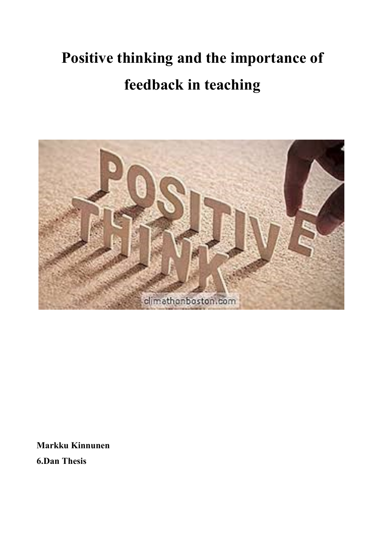# **Positive thinking and the importance of feedback in teaching**



**Markku Kinnunen**

**6.Dan Thesis**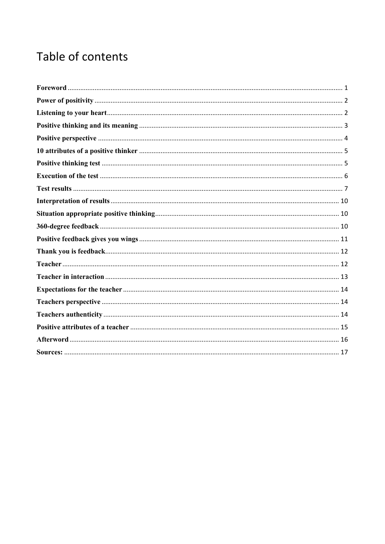## Table of contents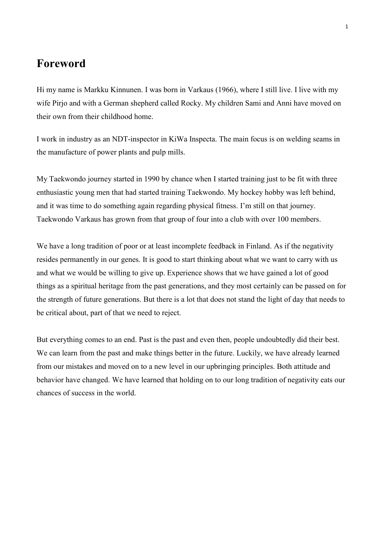#### <span id="page-2-0"></span>**Foreword**

Hi my name is Markku Kinnunen. I was born in Varkaus (1966), where I still live. I live with my wife Pirjo and with a German shepherd called Rocky. My children Sami and Anni have moved on their own from their childhood home.

I work in industry as an NDT-inspector in KiWa Inspecta. The main focus is on welding seams in the manufacture of power plants and pulp mills.

My Taekwondo journey started in 1990 by chance when I started training just to be fit with three enthusiastic young men that had started training Taekwondo. My hockey hobby was left behind, and it was time to do something again regarding physical fitness. I'm still on that journey. Taekwondo Varkaus has grown from that group of four into a club with over 100 members.

We have a long tradition of poor or at least incomplete feedback in Finland. As if the negativity resides permanently in our genes. It is good to start thinking about what we want to carry with us and what we would be willing to give up. Experience shows that we have gained a lot of good things as a spiritual heritage from the past generations, and they most certainly can be passed on for the strength of future generations. But there is a lot that does not stand the light of day that needs to be critical about, part of that we need to reject.

But everything comes to an end. Past is the past and even then, people undoubtedly did their best. We can learn from the past and make things better in the future. Luckily, we have already learned from our mistakes and moved on to a new level in our upbringing principles. Both attitude and behavior have changed. We have learned that holding on to our long tradition of negativity eats our chances of success in the world.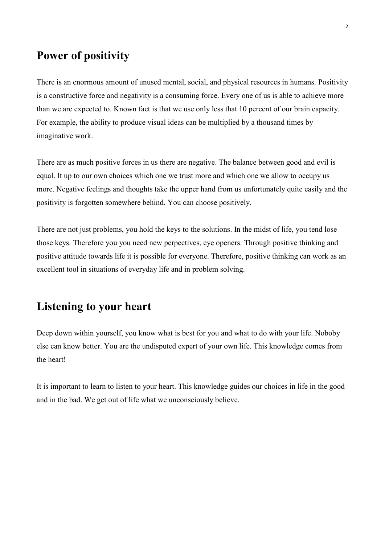#### <span id="page-3-0"></span>**Power of positivity**

There is an enormous amount of unused mental, social, and physical resources in humans. Positivity is a constructive force and negativity is a consuming force. Every one of us is able to achieve more than we are expected to. Known fact is that we use only less that 10 percent of our brain capacity. For example, the ability to produce visual ideas can be multiplied by a thousand times by imaginative work.

There are as much positive forces in us there are negative. The balance between good and evil is equal. It up to our own choices which one we trust more and which one we allow to occupy us more. Negative feelings and thoughts take the upper hand from us unfortunately quite easily and the positivity is forgotten somewhere behind. You can choose positively.

There are not just problems, you hold the keys to the solutions. In the midst of life, you tend lose those keys. Therefore you you need new perpectives, eye openers. Through positive thinking and positive attitude towards life it is possible for everyone. Therefore, positive thinking can work as an excellent tool in situations of everyday life and in problem solving.

#### <span id="page-3-1"></span>**Listening to your heart**

Deep down within yourself, you know what is best for you and what to do with your life. Noboby else can know better. You are the undisputed expert of your own life. This knowledge comes from the heart!

It is important to learn to listen to your heart. This knowledge guides our choices in life in the good and in the bad. We get out of life what we unconsciously believe.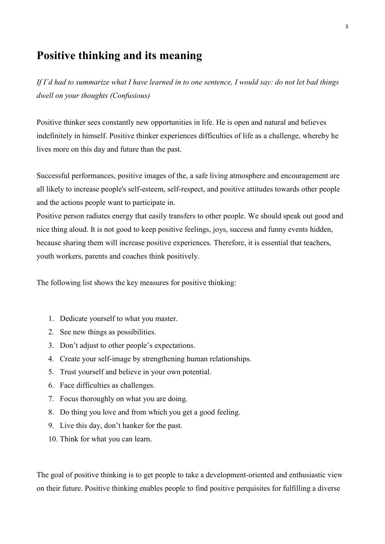### <span id="page-4-0"></span>**Positive thinking and its meaning**

*If I´d had to summarize what I have learned in to one sentence, I would say: do not let bad things dwell on your thoughts (Confusious)*

Positive thinker sees constantly new opportunities in life. He is open and natural and believes indefinitely in himself. Positive thinker experiences difficulties of life as a challenge, whereby he lives more on this day and future than the past.

Successful performances, positive images of the, a safe living atmosphere and encouragement are all likely to increase people's self-esteem, self-respect, and positive attitudes towards other people and the actions people want to participate in.

Positive person radiates energy that easily transfers to other people. We should speak out good and nice thing aloud. It is not good to keep positive feelings, joys, success and funny events hidden, because sharing them will increase positive experiences. Therefore, it is essential that teachers, youth workers, parents and coaches think positively.

The following list shows the key measures for positive thinking:

- 1. Dedicate yourself to what you master.
- 2. See new things as possibilities.
- 3. Don't adjust to other people's expectations.
- 4. Create your self-image by strengthening human relationships.
- 5. Trust yourself and believe in your own potential.
- 6. Face difficulties as challenges.
- 7. Focus thoroughly on what you are doing.
- 8. Do thing you love and from which you get a good feeling.
- 9. Live this day, don't hanker for the past.
- 10. Think for what you can learn.

The goal of positive thinking is to get people to take a development-oriented and enthusiastic view on their future. Positive thinking enables people to find positive perquisites for fulfilling a diverse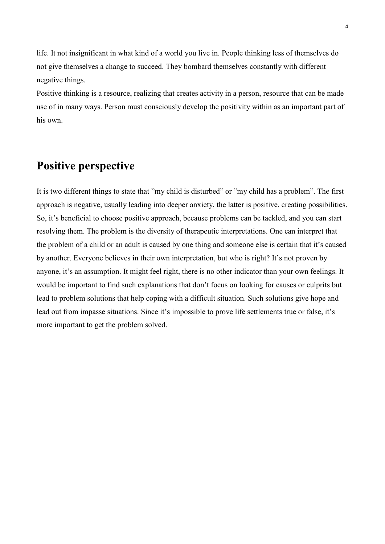life. It not insignificant in what kind of a world you live in. People thinking less of themselves do not give themselves a change to succeed. They bombard themselves constantly with different negative things.

Positive thinking is a resource, realizing that creates activity in a person, resource that can be made use of in many ways. Person must consciously develop the positivity within as an important part of his own.

#### <span id="page-5-0"></span>**Positive perspective**

It is two different things to state that "my child is disturbed" or "my child has a problem". The first approach is negative, usually leading into deeper anxiety, the latter is positive, creating possibilities. So, it's beneficial to choose positive approach, because problems can be tackled, and you can start resolving them. The problem is the diversity of therapeutic interpretations. One can interpret that the problem of a child or an adult is caused by one thing and someone else is certain that it's caused by another. Everyone believes in their own interpretation, but who is right? It's not proven by anyone, it's an assumption. It might feel right, there is no other indicator than your own feelings. It would be important to find such explanations that don't focus on looking for causes or culprits but lead to problem solutions that help coping with a difficult situation. Such solutions give hope and lead out from impasse situations. Since it's impossible to prove life settlements true or false, it's more important to get the problem solved.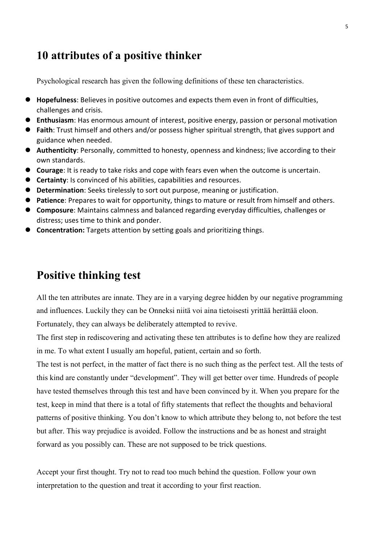#### <span id="page-6-0"></span>**10 attributes of a positive thinker**

Psychological research has given the following definitions of these ten characteristics.

- ⚫ **Hopefulness**: Believes in positive outcomes and expects them even in front of difficulties, challenges and crisis.
- ⚫ **Enthusiasm**: Has enormous amount of interest, positive energy, passion or personal motivation
- **Faith**: Trust himself and others and/or possess higher spiritual strength, that gives support and guidance when needed.
- **Authenticity**: Personally, committed to honesty, openness and kindness; live according to their own standards.
- ⚫ **Courage**: It is ready to take risks and cope with fears even when the outcome is uncertain.
- ⚫ **Certainty**: Is convinced of his abilities, capabilities and resources.
- ⚫ **Determination**: Seeks tirelessly to sort out purpose, meaning or justification.
- **Patience**: Prepares to wait for opportunity, things to mature or result from himself and others.
- ⚫ **Composure**: Maintains calmness and balanced regarding everyday difficulties, challenges or distress; uses time to think and ponder.
- **Concentration:** Targets attention by setting goals and prioritizing things.

#### <span id="page-6-1"></span>**Positive thinking test**

All the ten attributes are innate. They are in a varying degree hidden by our negative programming and influences. Luckily they can be Onneksi niitä voi aina tietoisesti yrittää herättää eloon. Fortunately, they can always be deliberately attempted to revive.

The first step in rediscovering and activating these ten attributes is to define how they are realized in me. To what extent I usually am hopeful, patient, certain and so forth.

The test is not perfect, in the matter of fact there is no such thing as the perfect test. All the tests of this kind are constantly under "development". They will get better over time. Hundreds of people have tested themselves through this test and have been convinced by it. When you prepare for the test, keep in mind that there is a total of fifty statements that reflect the thoughts and behavioral patterns of positive thinking. You don't know to which attribute they belong to, not before the test but after. This way prejudice is avoided. Follow the instructions and be as honest and straight forward as you possibly can. These are not supposed to be trick questions.

Accept your first thought. Try not to read too much behind the question. Follow your own interpretation to the question and treat it according to your first reaction.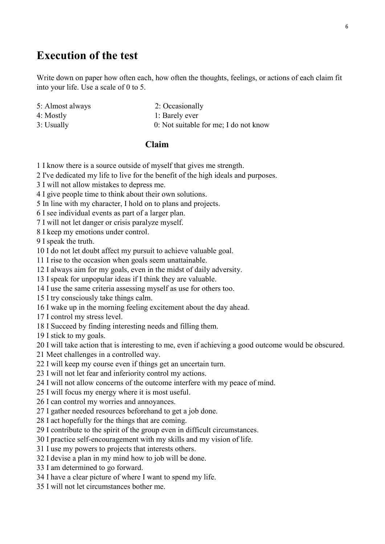#### 6

#### <span id="page-7-0"></span>**Execution of the test**

Write down on paper how often each, how often the thoughts, feelings, or actions of each claim fit into your life. Use a scale of 0 to 5.

- 5: Almost always 2: Occasionally
	-

- 
- 4: Mostly 1: Barely ever
- 
- 3: Usually 0: Not suitable for me; I do not know

#### **Claim**

- 1 I know there is a source outside of myself that gives me strength.
- 2 I've dedicated my life to live for the benefit of the high ideals and purposes.
- 3 I will not allow mistakes to depress me.
- 4 I give people time to think about their own solutions.
- 5 In line with my character, I hold on to plans and projects.
- 6 I see individual events as part of a larger plan.
- 7 I will not let danger or crisis paralyze myself.
- 8 I keep my emotions under control.

9 I speak the truth.

- 10 I do not let doubt affect my pursuit to achieve valuable goal.
- 11 I rise to the occasion when goals seem unattainable.
- 12 I always aim for my goals, even in the midst of daily adversity.
- 13 I speak for unpopular ideas if I think they are valuable.
- 14 I use the same criteria assessing myself as use for others too.
- 15 I try consciously take things calm.
- 16 I wake up in the morning feeling excitement about the day ahead.
- 17 I control my stress level.
- 18 I Succeed by finding interesting needs and filling them.

19 I stick to my goals.

- 20 I will take action that is interesting to me, even if achieving a good outcome would be obscured.
- 21 Meet challenges in a controlled way.
- 22 I will keep my course even if things get an uncertain turn.
- 23 I will not let fear and inferiority control my actions.
- 24 I will not allow concerns of the outcome interfere with my peace of mind.
- 25 I will focus my energy where it is most useful.
- 26 I can control my worries and annoyances.
- 27 I gather needed resources beforehand to get a job done.
- 28 I act hopefully for the things that are coming.
- 29 I contribute to the spirit of the group even in difficult circumstances.
- 30 I practice self-encouragement with my skills and my vision of life.
- 31 I use my powers to projects that interests others.
- 32 I devise a plan in my mind how to job will be done.
- 33 I am determined to go forward.
- 34 I have a clear picture of where I want to spend my life.
- 35 I will not let circumstances bother me.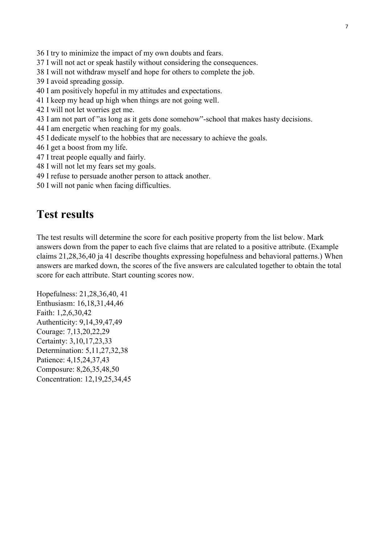36 I try to minimize the impact of my own doubts and fears.

- 37 I will not act or speak hastily without considering the consequences.
- 38 I will not withdraw myself and hope for others to complete the job.
- 39 I avoid spreading gossip.
- 40 I am positively hopeful in my attitudes and expectations.
- 41 I keep my head up high when things are not going well.
- 42 I will not let worries get me.
- 43 I am not part of "as long as it gets done somehow"-school that makes hasty decisions.
- 44 I am energetic when reaching for my goals.
- 45 I dedicate myself to the hobbies that are necessary to achieve the goals.
- 46 I get a boost from my life.
- 47 I treat people equally and fairly.
- 48 I will not let my fears set my goals.
- 49 I refuse to persuade another person to attack another.
- 50 I will not panic when facing difficulties.

#### <span id="page-8-0"></span>**Test results**

The test results will determine the score for each positive property from the list below. Mark answers down from the paper to each five claims that are related to a positive attribute. (Example claims 21,28,36,40 ja 41 describe thoughts expressing hopefulness and behavioral patterns.) When answers are marked down, the scores of the five answers are calculated together to obtain the total score for each attribute. Start counting scores now.

Hopefulness: 21,28,36,40, 41 Enthusiasm: 16,18,31,44,46 Faith: 1,2,6,30,42 Authenticity: 9,14,39,47,49 Courage: 7,13,20,22,29 Certainty: 3,10,17,23,33 Determination: 5,11,27,32,38 Patience: 4,15,24,37,43 Composure: 8,26,35,48,50 Concentration: 12,19,25,34,45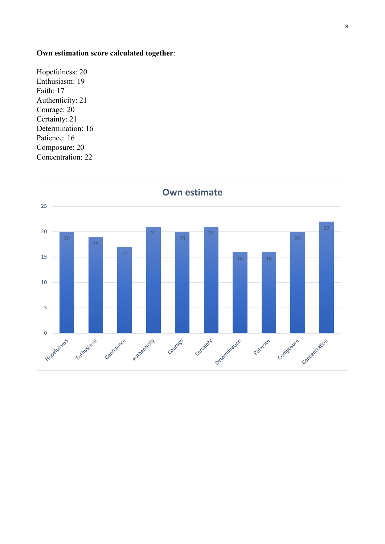#### **Own estimation score calculated together**:

Hopefulness: 20 Enthusiasm: 19 Faith: 17 Authenticity: 21 Courage: 20 Certainty: 21 Determination: 16 Patience: 16 Composure: 20 Concentration: 22

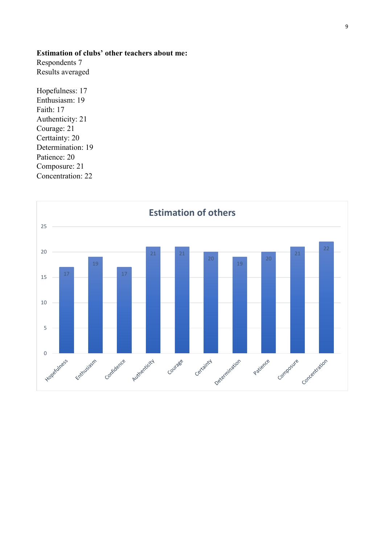#### **Estimation of clubs' other teachers about me:**

Respondents 7 Results averaged

Hopefulness: 17 Enthusiasm: 19 Faith: 17 Authenticity: 21 Courage: 21 Certtainty: 20 Determination: 19 Patience: 20 Composure: 21 Concentration: 22

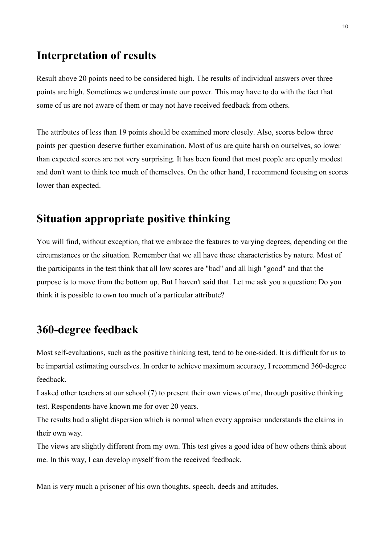#### <span id="page-11-0"></span>**Interpretation of results**

Result above 20 points need to be considered high. The results of individual answers over three points are high. Sometimes we underestimate our power. This may have to do with the fact that some of us are not aware of them or may not have received feedback from others.

The attributes of less than 19 points should be examined more closely. Also, scores below three points per question deserve further examination. Most of us are quite harsh on ourselves, so lower than expected scores are not very surprising. It has been found that most people are openly modest and don't want to think too much of themselves. On the other hand, I recommend focusing on scores lower than expected.

#### <span id="page-11-1"></span>**Situation appropriate positive thinking**

You will find, without exception, that we embrace the features to varying degrees, depending on the circumstances or the situation. Remember that we all have these characteristics by nature. Most of the participants in the test think that all low scores are "bad" and all high "good" and that the purpose is to move from the bottom up. But I haven't said that. Let me ask you a question: Do you think it is possible to own too much of a particular attribute?

### <span id="page-11-2"></span>**360-degree feedback**

Most self-evaluations, such as the positive thinking test, tend to be one-sided. It is difficult for us to be impartial estimating ourselves. In order to achieve maximum accuracy, I recommend 360-degree feedback.

I asked other teachers at our school (7) to present their own views of me, through positive thinking test. Respondents have known me for over 20 years.

The results had a slight dispersion which is normal when every appraiser understands the claims in their own way.

The views are slightly different from my own. This test gives a good idea of how others think about me. In this way, I can develop myself from the received feedback.

Man is very much a prisoner of his own thoughts, speech, deeds and attitudes.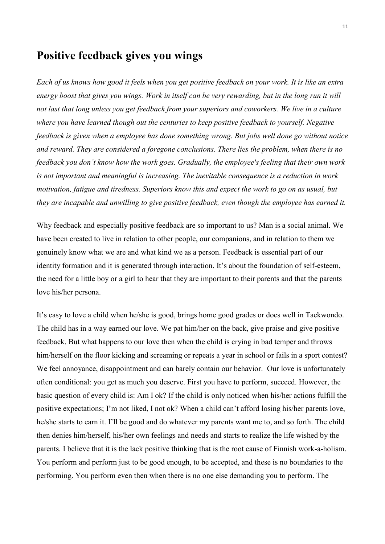#### <span id="page-12-0"></span>**Positive feedback gives you wings**

*Each of us knows how good it feels when you get positive feedback on your work. It is like an extra energy boost that gives you wings. Work in itself can be very rewarding, but in the long run it will not last that long unless you get feedback from your superiors and coworkers. We live in a culture where you have learned though out the centuries to keep positive feedback to yourself. Negative feedback is given when a employee has done something wrong. But jobs well done go without notice and reward. They are considered a foregone conclusions. There lies the problem, when there is no feedback you don't know how the work goes. Gradually, the employee's feeling that their own work is not important and meaningful is increasing. The inevitable consequence is a reduction in work motivation, fatigue and tiredness. Superiors know this and expect the work to go on as usual, but they are incapable and unwilling to give positive feedback, even though the employee has earned it.* 

Why feedback and especially positive feedback are so important to us? Man is a social animal. We have been created to live in relation to other people, our companions, and in relation to them we genuinely know what we are and what kind we as a person. Feedback is essential part of our identity formation and it is generated through interaction. It's about the foundation of self-esteem, the need for a little boy or a girl to hear that they are important to their parents and that the parents love his/her persona.

It's easy to love a child when he/she is good, brings home good grades or does well in Taekwondo. The child has in a way earned our love. We pat him/her on the back, give praise and give positive feedback. But what happens to our love then when the child is crying in bad temper and throws him/herself on the floor kicking and screaming or repeats a year in school or fails in a sport contest? We feel annoyance, disappointment and can barely contain our behavior. Our love is unfortunately often conditional: you get as much you deserve. First you have to perform, succeed. However, the basic question of every child is: Am I ok? If the child is only noticed when his/her actions fulfill the positive expectations; I'm not liked, I not ok? When a child can't afford losing his/her parents love, he/she starts to earn it. I'll be good and do whatever my parents want me to, and so forth. The child then denies him/herself, his/her own feelings and needs and starts to realize the life wished by the parents. I believe that it is the lack positive thinking that is the root cause of Finnish work-a-holism. You perform and perform just to be good enough, to be accepted, and these is no boundaries to the performing. You perform even then when there is no one else demanding you to perform. The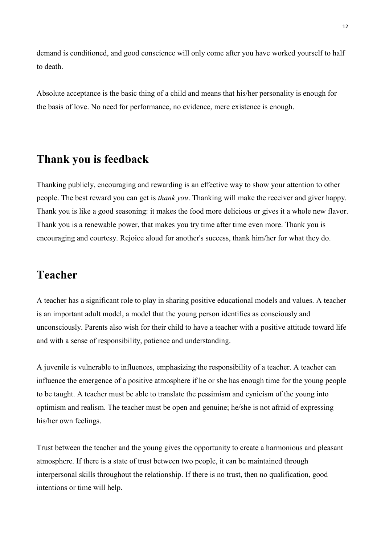demand is conditioned, and good conscience will only come after you have worked yourself to half to death.

Absolute acceptance is the basic thing of a child and means that his/her personality is enough for the basis of love. No need for performance, no evidence, mere existence is enough.

#### <span id="page-13-0"></span>**Thank you is feedback**

Thanking publicly, encouraging and rewarding is an effective way to show your attention to other people. The best reward you can get is *thank you*. Thanking will make the receiver and giver happy. Thank you is like a good seasoning: it makes the food more delicious or gives it a whole new flavor. Thank you is a renewable power, that makes you try time after time even more. Thank you is encouraging and courtesy. Rejoice aloud for another's success, thank him/her for what they do.

#### <span id="page-13-1"></span>**Teacher**

A teacher has a significant role to play in sharing positive educational models and values. A teacher is an important adult model, a model that the young person identifies as consciously and unconsciously. Parents also wish for their child to have a teacher with a positive attitude toward life and with a sense of responsibility, patience and understanding.

A juvenile is vulnerable to influences, emphasizing the responsibility of a teacher. A teacher can influence the emergence of a positive atmosphere if he or she has enough time for the young people to be taught. A teacher must be able to translate the pessimism and cynicism of the young into optimism and realism. The teacher must be open and genuine; he/she is not afraid of expressing his/her own feelings.

Trust between the teacher and the young gives the opportunity to create a harmonious and pleasant atmosphere. If there is a state of trust between two people, it can be maintained through interpersonal skills throughout the relationship. If there is no trust, then no qualification, good intentions or time will help.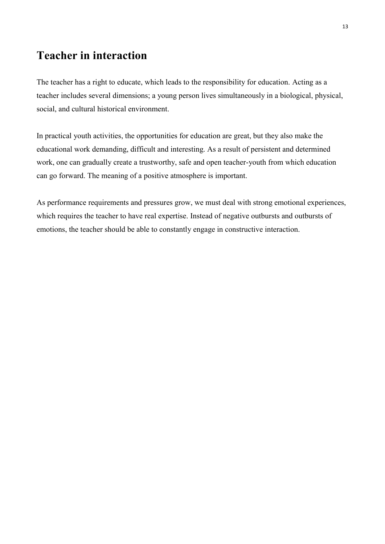## <span id="page-14-0"></span>**Teacher in interaction**

The teacher has a right to educate, which leads to the responsibility for education. Acting as a teacher includes several dimensions; a young person lives simultaneously in a biological, physical, social, and cultural historical environment.

In practical youth activities, the opportunities for education are great, but they also make the educational work demanding, difficult and interesting. As a result of persistent and determined work, one can gradually create a trustworthy, safe and open teacher-youth from which education can go forward. The meaning of a positive atmosphere is important.

As performance requirements and pressures grow, we must deal with strong emotional experiences, which requires the teacher to have real expertise. Instead of negative outbursts and outbursts of emotions, the teacher should be able to constantly engage in constructive interaction.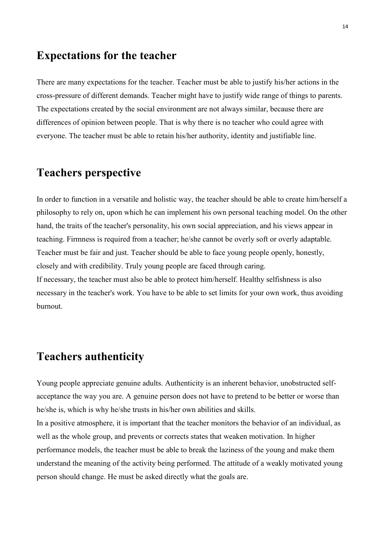#### <span id="page-15-0"></span>**Expectations for the teacher**

There are many expectations for the teacher. Teacher must be able to justify his/her actions in the cross-pressure of different demands. Teacher might have to justify wide range of things to parents. The expectations created by the social environment are not always similar, because there are differences of opinion between people. That is why there is no teacher who could agree with everyone. The teacher must be able to retain his/her authority, identity and justifiable line.

## <span id="page-15-1"></span>**Teachers perspective**

In order to function in a versatile and holistic way, the teacher should be able to create him/herself a philosophy to rely on, upon which he can implement his own personal teaching model. On the other hand, the traits of the teacher's personality, his own social appreciation, and his views appear in teaching. Firmness is required from a teacher; he/she cannot be overly soft or overly adaptable. Teacher must be fair and just. Teacher should be able to face young people openly, honestly, closely and with credibility. Truly young people are faced through caring. If necessary, the teacher must also be able to protect him/herself. Healthy selfishness is also necessary in the teacher's work. You have to be able to set limits for your own work, thus avoiding burnout.

#### <span id="page-15-2"></span>**Teachers authenticity**

Young people appreciate genuine adults. Authenticity is an inherent behavior, unobstructed selfacceptance the way you are. A genuine person does not have to pretend to be better or worse than he/she is, which is why he/she trusts in his/her own abilities and skills.

In a positive atmosphere, it is important that the teacher monitors the behavior of an individual, as well as the whole group, and prevents or corrects states that weaken motivation. In higher performance models, the teacher must be able to break the laziness of the young and make them understand the meaning of the activity being performed. The attitude of a weakly motivated young person should change. He must be asked directly what the goals are.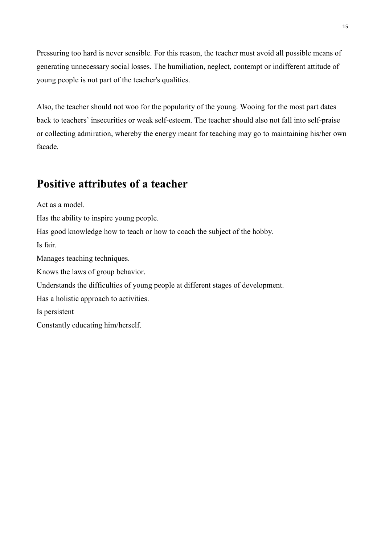Pressuring too hard is never sensible. For this reason, the teacher must avoid all possible means of generating unnecessary social losses. The humiliation, neglect, contempt or indifferent attitude of young people is not part of the teacher's qualities.

Also, the teacher should not woo for the popularity of the young. Wooing for the most part dates back to teachers' insecurities or weak self-esteem. The teacher should also not fall into self-praise or collecting admiration, whereby the energy meant for teaching may go to maintaining his/her own facade.

### <span id="page-16-0"></span>**Positive attributes of a teacher**

Act as a model.

Has the ability to inspire young people.

Has good knowledge how to teach or how to coach the subject of the hobby.

Is fair.

Manages teaching techniques.

Knows the laws of group behavior.

Understands the difficulties of young people at different stages of development.

Has a holistic approach to activities.

Is persistent

Constantly educating him/herself.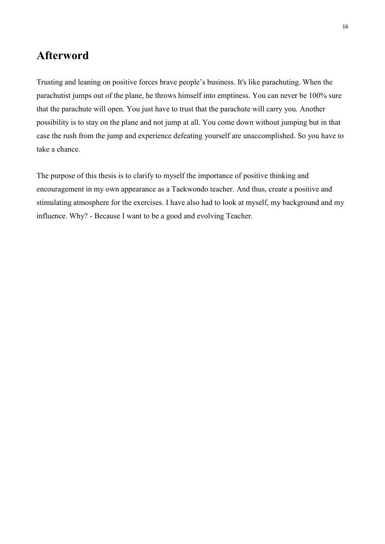#### <span id="page-17-0"></span>**Afterword**

Trusting and leaning on positive forces brave people's business. It's like parachuting. When the parachutist jumps out of the plane, he throws himself into emptiness. You can never be 100% sure that the parachute will open. You just have to trust that the parachute will carry you. Another possibility is to stay on the plane and not jump at all. You come down without jumping but in that case the rush from the jump and experience defeating yourself are unaccomplished. So you have to take a chance.

The purpose of this thesis is to clarify to myself the importance of positive thinking and encouragement in my own appearance as a Taekwondo teacher. And thus, create a positive and stimulating atmosphere for the exercises. I have also had to look at myself, my background and my influence. Why? - Because I want to be a good and evolving Teacher.